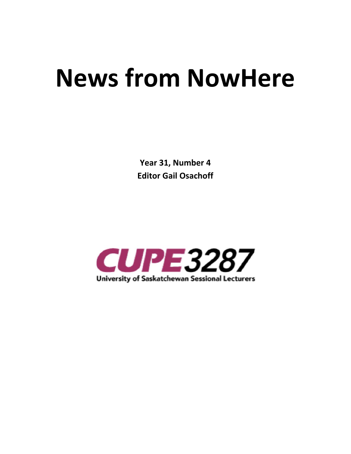# **News from NowHere**

 **Year 31, Number 4 Editor Gail Osachoff** 

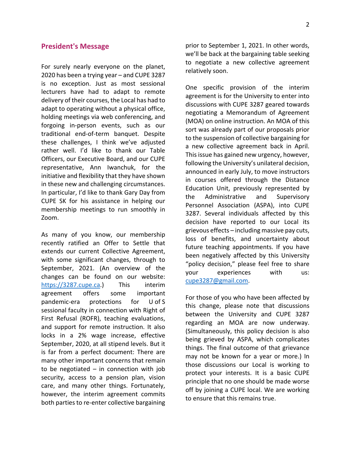### **President's Message**

For surely nearly everyone on the planet, 2020 has been a trying year – and CUPE 3287 is no exception. Just as most sessional lecturers have had to adapt to remote delivery of their courses, the Local has had to adapt to operating without a physical office, holding meetings via web conferencing, and forgoing in-person events, such as our traditional end-of-term banquet. Despite these challenges, I think we've adjusted rather well. I'd like to thank our Table Officers, our Executive Board, and our CUPE representative, Ann Iwanchuk, for the initiative and flexibility that they have shown in these new and challenging circumstances. In particular, I'd like to thank Gary Day from CUPE SK for his assistance in helping our membership meetings to run smoothly in Zoom.

As many of you know, our membership recently ratified an Offer to Settle that extends our current Collective Agreement, with some significant changes, through to September, 2021. (An overview of the changes can be found on our website: https://3287.cupe.ca.) This interim agreement offers some important pandemic-era protections for U of S sessional faculty in connection with Right of First Refusal (ROFR), teaching evaluations, and support for remote instruction. It also locks in a 2% wage increase, effective September, 2020, at all stipend levels. But it is far from a perfect document: There are many other important concerns that remain to be negotiated  $-$  in connection with job security, access to a pension plan, vision care, and many other things. Fortunately, however, the interim agreement commits both parties to re-enter collective bargaining

prior to September 1, 2021. In other words, we'll be back at the bargaining table seeking to negotiate a new collective agreement relatively soon.

One specific provision of the interim agreement is for the University to enter into discussions with CUPE 3287 geared towards negotiating a Memorandum of Agreement (MOA) on online instruction. An MOA of this sort was already part of our proposals prior to the suspension of collective bargaining for a new collective agreement back in April. This issue has gained new urgency, however, following the University's unilateral decision, announced in early July, to move instructors in courses offered through the Distance Education Unit, previously represented by the Administrative and Supervisory Personnel Association (ASPA), into CUPE 3287. Several individuals affected by this decision have reported to our Local its grievous effects – including massive pay cuts, loss of benefits, and uncertainty about future teaching appointments. If you have been negatively affected by this University "policy decision," please feel free to share your experiences with us: cupe3287@gmail.com.

For those of you who have been affected by this change, please note that discussions between the University and CUPE 3287 regarding an MOA are now underway. (Simultaneously, this policy decision is also being grieved by ASPA, which complicates things. The final outcome of that grievance may not be known for a year or more.) In those discussions our Local is working to protect your interests. It is a basic CUPE principle that no one should be made worse off by joining a CUPE local. We are working to ensure that this remains true.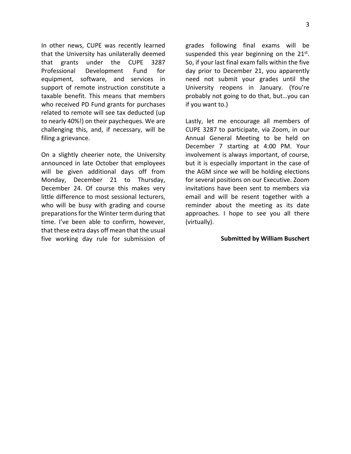In other news, CUPE was recently learned that the University has unilaterally deemed that grants under the CUPE 3287 Professional Development Fund for equipment, software, and services in support of remote instruction constitute a taxable benefit. This means that members who received PD Fund grants for purchases related to remote will see tax deducted (up to nearly 40%!) on their paycheques. We are challenging this, and, if necessary, will be filing a grievance.

On a slightly cheerier note, the University announced in late October that employees will be given additional days off from Monday, December 21 to Thursday, December 24. Of course this makes very little difference to most sessional lecturers, who will be busy with grading and course preparations for the Winter term during that time. I've been able to confirm, however, that these extra days off mean that the usual five working day rule for submission of

grades following final exams will be suspended this year beginning on the  $21^{st}$ . So, if your last final exam falls within the five day prior to December 21, you apparently need not submit your grades until the University reopens in January. (You're probably not going to do that, but…you can if you want to.)

Lastly, let me encourage all members of CUPE 3287 to participate, via Zoom, in our Annual General Meeting to be held on December 7 starting at 4:00 PM. Your involvement is always important, of course, but it is especially important in the case of the AGM since we will be holding elections for several positions on our Executive. Zoom invitations have been sent to members via email and will be resent together with a reminder about the meeting as its date approaches. I hope to see you all there (virtually).

### **Submitted by William Buschert**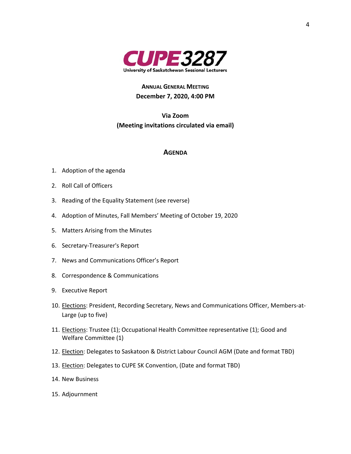

# **ANNUAL GENERAL MEETING December 7, 2020, 4:00 PM**

**Via Zoom (Meeting invitations circulated via email)** 

### **AGENDA**

- 1. Adoption of the agenda
- 2. Roll Call of Officers
- 3. Reading of the Equality Statement (see reverse)
- 4. Adoption of Minutes, Fall Members' Meeting of October 19, 2020
- 5. Matters Arising from the Minutes
- 6. Secretary-Treasurer's Report
- 7. News and Communications Officer's Report
- 8. Correspondence & Communications
- 9. Executive Report
- 10. Elections: President, Recording Secretary, News and Communications Officer, Members-at-Large (up to five)
- 11. Elections: Trustee (1); Occupational Health Committee representative (1); Good and Welfare Committee (1)
- 12. **Election:** Delegates to Saskatoon & District Labour Council AGM (Date and format TBD)
- 13. Election: Delegates to CUPE SK Convention, (Date and format TBD)
- 14. New Business
- 15. Adjournment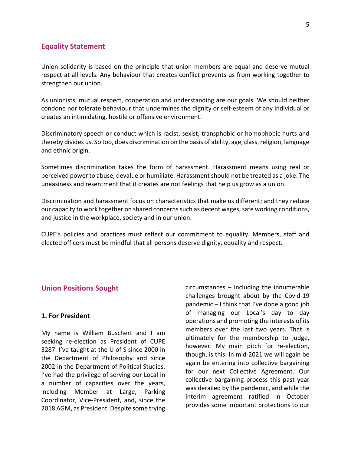### **Equality Statement**

Union solidarity is based on the principle that union members are equal and deserve mutual respect at all levels. Any behaviour that creates conflict prevents us from working together to strengthen our union.

As unionists, mutual respect, cooperation and understanding are our goals. We should neither condone nor tolerate behaviour that undermines the dignity or self-esteem of any individual or creates an intimidating, hostile or offensive environment.

Discriminatory speech or conduct which is racist, sexist, transphobic or homophobic hurts and thereby divides us. So too, does discrimination on the basis of ability, age, class, religion, language and ethnic origin.

Sometimes discrimination takes the form of harassment. Harassment means using real or perceived power to abuse, devalue or humiliate. Harassment should not be treated as a joke. The uneasiness and resentment that it creates are not feelings that help us grow as a union.

Discrimination and harassment focus on characteristics that make us different; and they reduce our capacity to work together on shared concerns such as decent wages, safe working conditions, and justice in the workplace, society and in our union.

CUPE's policies and practices must reflect our commitment to equality. Members, staff and elected officers must be mindful that all persons deserve dignity, equality and respect.

## **Union Positions Sought**

### **1. For President**

My name is William Buschert and I am seeking re-election as President of CUPE 3287. I've taught at the U of S since 2000 in the Department of Philosophy and since 2002 in the Department of Political Studies. I've had the privilege of serving our Local in a number of capacities over the years, including Member at Large, Parking Coordinator, Vice-President, and, since the 2018 AGM, as President. Despite some trying

circumstances – including the innumerable challenges brought about by the Covid-19 pandemic – I think that I've done a good job of managing our Local's day to day operations and promoting the interests of its members over the last two years. That is ultimately for the membership to judge, however. My main pitch for re-election, though, is this: In mid-2021 we will again be again be entering into collective bargaining for our next Collective Agreement. Our collective bargaining process this past year was derailed by the pandemic, and while the interim agreement ratified in October provides some important protections to our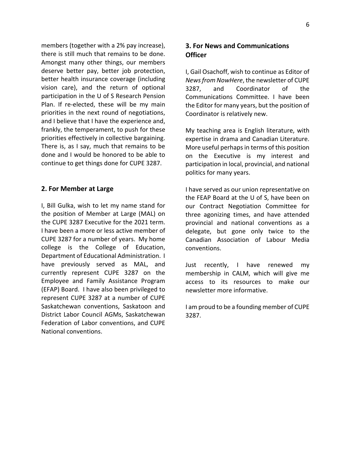members (together with a 2% pay increase), there is still much that remains to be done. Amongst many other things, our members deserve better pay, better job protection, better health insurance coverage (including vision care), and the return of optional participation in the U of S Research Pension Plan. If re-elected, these will be my main priorities in the next round of negotiations, and I believe that I have the experience and, frankly, the temperament, to push for these priorities effectively in collective bargaining. There is, as I say, much that remains to be done and I would be honored to be able to continue to get things done for CUPE 3287.

### **2. For Member at Large**

I, Bill Gulka, wish to let my name stand for the position of Member at Large (MAL) on the CUPE 3287 Executive for the 2021 term. I have been a more or less active member of CUPE 3287 for a number of years. My home college is the College of Education, Department of Educational Administration. I have previously served as MAL, and currently represent CUPE 3287 on the Employee and Family Assistance Program (EFAP) Board. I have also been privileged to represent CUPE 3287 at a number of CUPE Saskatchewan conventions, Saskatoon and District Labor Council AGMs, Saskatchewan Federation of Labor conventions, and CUPE National conventions.

# **3. For News and Communications Officer**

I, Gail Osachoff, wish to continue as Editor of *News from NowHere*, the newsletter of CUPE 3287, and Coordinator of the Communications Committee. I have been the Editor for many years, but the position of Coordinator is relatively new.

My teaching area is English literature, with expertise in drama and Canadian Literature. More useful perhaps in terms of this position on the Executive is my interest and participation in local, provincial, and national politics for many years.

I have served as our union representative on the FEAP Board at the U of S, have been on our Contract Negotiation Committee for three agonizing times, and have attended provincial and national conventions as a delegate, but gone only twice to the Canadian Association of Labour Media conventions.

Just recently, I have renewed my membership in CALM, which will give me access to its resources to make our newsletter more informative.

I am proud to be a founding member of CUPE 3287.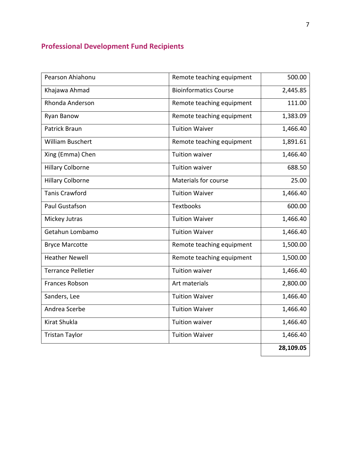# **Professional Development Fund Recipients**

| Pearson Ahiahonu          | Remote teaching equipment    | 500.00    |
|---------------------------|------------------------------|-----------|
| Khajawa Ahmad             | <b>Bioinformatics Course</b> | 2,445.85  |
| Rhonda Anderson           | Remote teaching equipment    | 111.00    |
| Ryan Banow                | Remote teaching equipment    | 1,383.09  |
| Patrick Braun             | <b>Tuition Waiver</b>        | 1,466.40  |
| <b>William Buschert</b>   | Remote teaching equipment    | 1,891.61  |
| Xing (Emma) Chen          | <b>Tuition waiver</b>        | 1,466.40  |
| <b>Hillary Colborne</b>   | <b>Tuition waiver</b>        | 688.50    |
| <b>Hillary Colborne</b>   | Materials for course         | 25.00     |
| <b>Tanis Crawford</b>     | <b>Tuition Waiver</b>        | 1,466.40  |
| Paul Gustafson            | <b>Textbooks</b>             | 600.00    |
| Mickey Jutras             | <b>Tuition Waiver</b>        | 1,466.40  |
| Getahun Lombamo           | <b>Tuition Waiver</b>        | 1,466.40  |
| <b>Bryce Marcotte</b>     | Remote teaching equipment    | 1,500.00  |
| <b>Heather Newell</b>     | Remote teaching equipment    | 1,500.00  |
| <b>Terrance Pelletier</b> | <b>Tuition waiver</b>        | 1,466.40  |
| <b>Frances Robson</b>     | Art materials                | 2,800.00  |
| Sanders, Lee              | <b>Tuition Waiver</b>        | 1,466.40  |
| Andrea Scerbe             | <b>Tuition Waiver</b>        | 1,466.40  |
| Kirat Shukla              | <b>Tuition waiver</b>        | 1,466.40  |
| <b>Tristan Taylor</b>     | <b>Tuition Waiver</b>        | 1,466.40  |
|                           |                              | 28,109.05 |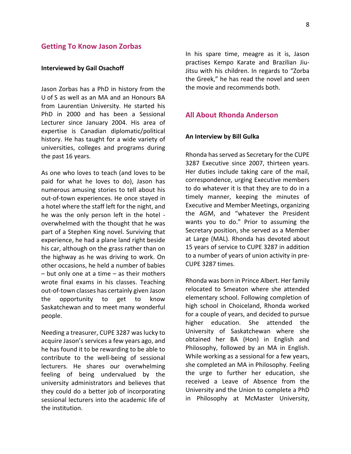### **Getting To Know Jason Zorbas**

### **Interviewed by Gail Osachoff**

Jason Zorbas has a PhD in history from the U of S as well as an MA and an Honours BA from Laurentian University. He started his PhD in 2000 and has been a Sessional Lecturer since January 2004. His area of expertise is Canadian diplomatic/political history. He has taught for a wide variety of universities, colleges and programs during the past 16 years.

As one who loves to teach (and loves to be paid for what he loves to do), Jason has numerous amusing stories to tell about his out-of-town experiences. He once stayed in a hotel where the staff left for the night, and he was the only person left in the hotel overwhelmed with the thought that he was part of a Stephen King novel. Surviving that experience, he had a plane land right beside his car, although on the grass rather than on the highway as he was driving to work. On other occasions, he held a number of babies – but only one at a time – as their mothers wrote final exams in his classes. Teaching out-of-town classes has certainly given Jason the opportunity to get to know Saskatchewan and to meet many wonderful people.

Needing a treasurer, CUPE 3287 was lucky to acquire Jason's services a few years ago, and he has found it to be rewarding to be able to contribute to the well-being of sessional lecturers. He shares our overwhelming feeling of being undervalued by the university administrators and believes that they could do a better job of incorporating sessional lecturers into the academic life of the institution.

In his spare time, meagre as it is, Jason practises Kempo Karate and Brazilian Jiu-Jitsu with his children. In regards to "Zorba the Greek," he has read the novel and seen the movie and recommends both.

## **All About Rhonda Anderson**

### **An Interview by Bill Gulka**

Rhonda has served as Secretary for the CUPE 3287 Executive since 2007, thirteen years. Her duties include taking care of the mail, correspondence, urging Executive members to do whatever it is that they are to do in a timely manner, keeping the minutes of Executive and Member Meetings, organizing the AGM, and "whatever the President wants you to do." Prior to assuming the Secretary position, she served as a Member at Large (MAL). Rhonda has devoted about 15 years of service to CUPE 3287 in addition to a number of years of union activity in pre-CUPE 3287 times.

Rhonda was born in Prince Albert. Her family relocated to Smeaton where she attended elementary school. Following completion of high school in Choiceland, Rhonda worked for a couple of years, and decided to pursue higher education. She attended the University of Saskatchewan where she obtained her BA (Hon) in English and Philosophy, followed by an MA in English. While working as a sessional for a few years, she completed an MA in Philosophy. Feeling the urge to further her education, she received a Leave of Absence from the University and the Union to complete a PhD in Philosophy at McMaster University,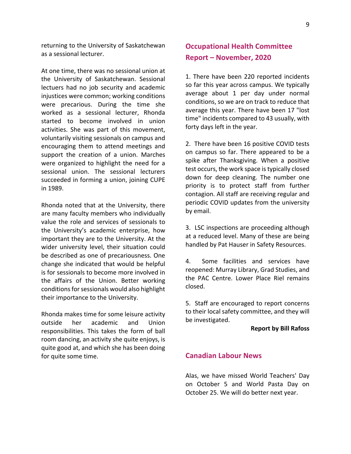returning to the University of Saskatchewan as a sessional lecturer.

At one time, there was no sessional union at the University of Saskatchewan. Sessional lectuers had no job security and academic injustices were common; working conditions were precarious. During the time she worked as a sessional lecturer, Rhonda started to become involved in union activities. She was part of this movement, voluntarily visiting sessionals on campus and encouraging them to attend meetings and support the creation of a union. Marches were organized to highlight the need for a sessional union. The sessional lecturers succeeded in forming a union, joining CUPE in 1989.

Rhonda noted that at the University, there are many faculty members who individually value the role and services of sessionals to the University's academic enterprise, how important they are to the University. At the wider university level, their situation could be described as one of precariousness. One change she indicated that would be helpful is for sessionals to become more involved in the affairs of the Union. Better working conditions for sessionals would also highlight their importance to the University.

Rhonda makes time for some leisure activity outside her academic and Union responsibilities. This takes the form of ball room dancing, an activity she quite enjoys, is quite good at, and which she has been doing for quite some time.

# **Occupational Health Committee Report – November, 2020**

1. There have been 220 reported incidents so far this year across campus. We typically average about 1 per day under normal conditions, so we are on track to reduce that average this year. There have been 17 "lost time" incidents compared to 43 usually, with forty days left in the year.

2. There have been 16 positive COVID tests on campus so far. There appeared to be a spike after Thanksgiving. When a positive test occurs, the work space is typically closed down for deep cleaning. The number one priority is to protect staff from further contagion. All staff are receiving regular and periodic COVID updates from the university by email.

3. LSC inspections are proceeding although at a reduced level. Many of these are being handled by Pat Hauser in Safety Resources.

4. Some facilities and services have reopened: Murray Library, Grad Studies, and the PAC Centre. Lower Place Riel remains closed.

5. Staff are encouraged to report concerns to their local safety committee, and they will be investigated.

### **Report by Bill Rafoss**

# **Canadian Labour News**

Alas, we have missed World Teachers' Day on October 5 and World Pasta Day on October 25. We will do better next year.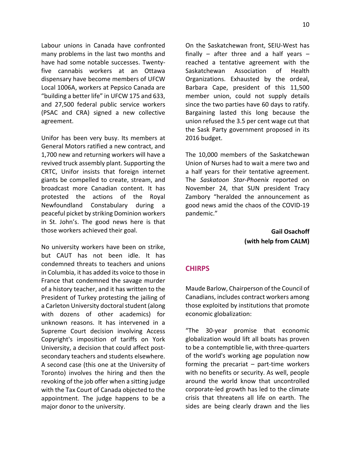Labour unions in Canada have confronted many problems in the last two months and have had some notable successes. Twentyfive cannabis workers at an Ottawa dispensary have become members of UFCW Local 1006A, workers at Pepsico Canada are "building a better life" in UFCW 175 and 633, and 27,500 federal public service workers (PSAC and CRA) signed a new collective agreement.

Unifor has been very busy. Its members at General Motors ratified a new contract, and 1,700 new and returning workers will have a revived truck assembly plant. Supporting the CRTC, Unifor insists that foreign internet giants be compelled to create, stream, and broadcast more Canadian content. It has protested the actions of the Royal Newfoundland Constabulary during a peaceful picket by striking Dominion workers in St. John's. The good news here is that those workers achieved their goal.

No university workers have been on strike, but CAUT has not been idle. It has condemned threats to teachers and unions in Columbia, it has added its voice to those in France that condemned the savage murder of a history teacher, and it has written to the President of Turkey protesting the jailing of a Carleton University doctoral student (along with dozens of other academics) for unknown reasons. It has intervened in a Supreme Court decision involving Access Copyright's imposition of tariffs on York University, a decision that could affect postsecondary teachers and students elsewhere. A second case (this one at the University of Toronto) involves the hiring and then the revoking of the job offer when a sitting judge with the Tax Court of Canada objected to the appointment. The judge happens to be a major donor to the university.

On the Saskatchewan front, SEIU-West has finally – after three and a half years – reached a tentative agreement with the Saskatchewan Association of Health Organizations. Exhausted by the ordeal, Barbara Cape, president of this 11,500 member union, could not supply details since the two parties have 60 days to ratify. Bargaining lasted this long because the union refused the 3.5 per cent wage cut that the Sask Party government proposed in its 2016 budget.

The 10,000 members of the Saskatchewan Union of Nurses had to wait a mere two and a half years for their tentative agreement. The *Saskatoon Star-Phoenix* reported on November 24, that SUN president Tracy Zambory "heralded the announcement as good news amid the chaos of the COVID-19 pandemic."

> **Gail Osachoff (with help from CALM)**

# **CHIRPS**

Maude Barlow, Chairperson of the Council of Canadians, includes contract workers among those exploited by institutions that promote economic globalization:

"The 30-year promise that economic globalization would lift all boats has proven to be a contemptible lie, with three-quarters of the world's working age population now forming the precariat  $-$  part-time workers with no benefits or security. As well, people around the world know that uncontrolled corporate-led growth has led to the climate crisis that threatens all life on earth. The sides are being clearly drawn and the lies